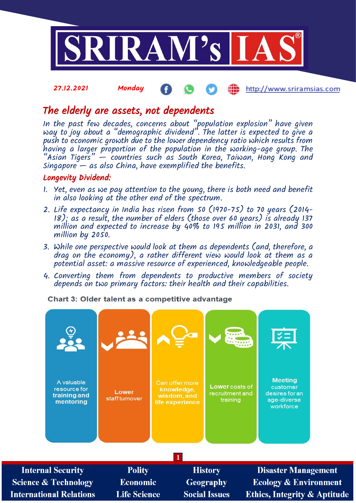

Æ

http://www.sriramsias.com

# The elderly are assets, not dependents

27.12.2021 Monday

In the past few decades, concerns about "population explosion" have given way to joy about a "demographic dividend". The latter is expected to give a push to economic growth due to the lower dependency ratio which results from having a larger proportion of the population in the working-age group. The "Asian Tigers" — countries such as South Korea, Taiwan, Hong Kong and  $Singapore - as also China, have exemplified the benefits.$ 

## Longevity Dividend:

- 1. Yet, even as we pay attention to the young, there is both need and benefit in also looking at the other end of the spectrum.
- 2. Life expectancy in India has risen from 50 (1970-75) to 70 years (2014- 18); as a result, the number of elders (those over 60 years) is already 137 million and expected to increase by 40% to 195 million in 2031, and 300 million by 2050.
- 3. While one perspective would look at them as dependents (and, therefore, a drag on the economy), a rather different view would look at them as a potential asset: a massive resource of experienced, knowledgeable people.
- 4. Converting them from dependents to productive members of society depends on two primary factors: their health and their capabilities.

Chart 3: Older talent as a competitive advantage

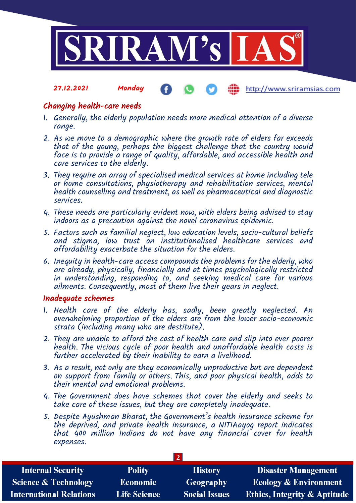

### 27.12.2021 Monday http://www.sriramsias.com

# Changing health-care needs

- 1. Generally, the elderly population needs more medical attention of a diverse range.
- 2. As we move to a demographic where the growth rate of elders far exceeds that of the young, perhaps the biggest challenge that the country would face is to provide a range of quality, affordable, and accessible health and care services to the elderly.
- 3. They require an array of specialised medical services at home including tele or home consultations, physiotherapy and rehabilitation services, mental health counselling and treatment, as well as pharmaceutical and diagnostic services.
- 4. These needs are particularly evident now, with elders being advised to stay indoors as a precaution against the novel coronavirus epidemic.
- 5. Factors such as familial neglect, low education levels, socio-cultural beliefs and stigma, low trust on institutionalised healthcare services and affordability exacerbate the situation for the elders.
- 6. Inequity in health-care access compounds the problems for the elderly, who are already, physically, financially and at times psychologically restricted in understanding, responding to, and seeking medical care for various ailments. Consequently, most of them live their years in neglect.

# Inadequate schemes

- 1. Health care of the elderly has, sadly, been greatly neglected. An overwhelming proportion of the elders are from the lower socio-economic strata (including many who are destitute).
- 2. They are unable to afford the cost of health care and slip into ever poorer health. The vicious cycle of poor health and unaffordable health costs is further accelerated by their inability to earn a livelihood.
- 3. As a result, not only are they economically unproductive but are dependent on support from family or others. This, and poor physical health, adds to their mental and emotional problems.
- 4. The Government does have schemes that cover the elderly and seeks to take care of these issues, but they are completely inadequate.
- 5. Despite Ayushman Bharat, the Government's health insurance scheme for the deprived, and private health insurance, a NITIAayog report indicates that 400 million Indians do not have any financial cover for health expenses.

| <b>Internal Security</b>        | <b>Polity</b>       | <b>History</b>       | <b>Disaster Management</b>              |  |  |
|---------------------------------|---------------------|----------------------|-----------------------------------------|--|--|
| <b>Science &amp; Technology</b> | Economic            | <b>Geography</b>     | <b>Ecology &amp; Environment</b>        |  |  |
| <b>International Relations</b>  | <b>Life Science</b> | <b>Social Issues</b> | <b>Ethics, Integrity &amp; Aptitude</b> |  |  |